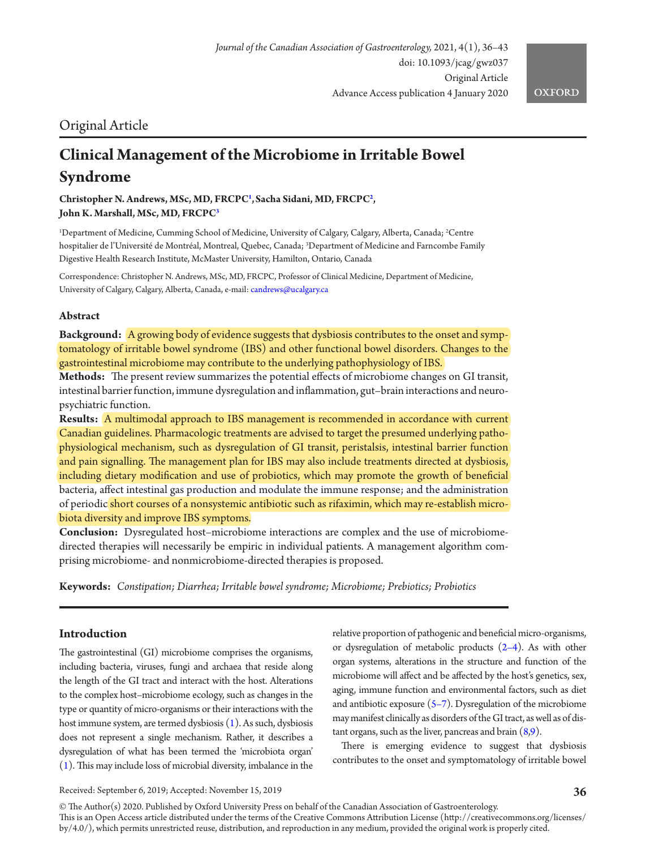# Original Article

# **Clinical Management of the Microbiome in Irritable Bowel Syndrome**

**Christopher N. Andrews, MSc, MD, FRCP[C1](#page-0-0) ,Sacha Sidani, MD, FRCP[C2](#page-0-1) , John K. Marshall, MSc, MD, FRCP[C3](#page-0-2)**

<span id="page-0-0"></span>'Department of Medicine, Cumming School of Medicine, University of Calgary, Calgary, Alberta, Canada; <sup>2</sup>Centre hospitalier de l'Université de Montréal, Montreal, Quebec, Canada; 3 Department of Medicine and Farncombe Family Digestive Health Research Institute, McMaster University, Hamilton, Ontario, Canada

Correspondence: Christopher N. Andrews, MSc, MD, FRCPC, Professor of Clinical Medicine, Department of Medicine, University of Calgary, Calgary, Alberta, Canada, e-mail: [candrews@ucalgary.ca](mailto:candrews@ucalgary.ca?subject=)

## **Abstract**

**Background:** A growing body of evidence suggests that dysbiosis contributes to the onset and symptomatology of irritable bowel syndrome (IBS) and other functional bowel disorders. Changes to the gastrointestinal microbiome may contribute to the underlying pathophysiology of IBS.

**Methods:** The present review summarizes the potential effects of microbiome changes on GI transit, intestinal barrier function, immune dysregulation and inflammation, gut–brain interactions and neuropsychiatric function.

**Results:** A multimodal approach to IBS management is recommended in accordance with current Canadian guidelines. Pharmacologic treatments are advised to target the presumed underlying pathophysiological mechanism, such as dysregulation of GI transit, peristalsis, intestinal barrier function and pain signalling. The management plan for IBS may also include treatments directed at dysbiosis, including dietary modification and use of probiotics, which may promote the growth of beneficial bacteria, affect intestinal gas production and modulate the immune response; and the administration of periodic short courses of a nonsystemic antibiotic such as rifaximin, which may re-establish microbiota diversity and improve IBS symptoms.

**Conclusion:** Dysregulated host–microbiome interactions are complex and the use of microbiomedirected therapies will necessarily be empiric in individual patients. A management algorithm comprising microbiome- and nonmicrobiome-directed therapies is proposed.

**Keywords:** *Constipation; Diarrhea; Irritable bowel syndrome; Microbiome; Prebiotics; Probiotics*

# **Introduction**

The gastrointestinal (GI) microbiome comprises the organisms, including bacteria, viruses, fungi and archaea that reside along the length of the GI tract and interact with the host. Alterations to the complex host–microbiome ecology, such as changes in the type or quantity of micro-organisms or their interactions with the host immune system, are termed dysbiosis ([1](#page-5-0)). As such, dysbiosis does not represent a single mechanism. Rather, it describes a dysregulation of what has been termed the 'microbiota organ' [\(1](#page-5-0)). This may include loss of microbial diversity, imbalance in the

<span id="page-0-2"></span><span id="page-0-1"></span>relative proportion of pathogenic and beneficial micro-organisms, or dysregulation of metabolic products  $(2-4)$  $(2-4)$ . As with other organ systems, alterations in the structure and function of the microbiome will affect and be affected by the host's genetics, sex, aging, immune function and environmental factors, such as diet and antibiotic exposure  $(5-7)$  $(5-7)$  $(5-7)$ . Dysregulation of the microbiome may manifest clinically as disorders of the GI tract, as well as of distant organs, such as the liver, pancreas and brain  $(8,9)$  $(8,9)$ .

There is emerging evidence to suggest that dysbiosis contributes to the onset and symptomatology of irritable bowel

Received: September 6, 2019; Accepted: November 15, 2019 **36**

© The Author(s) 2020. Published by Oxford University Press on behalf of the Canadian Association of Gastroenterology. This is an Open Access article distributed under the terms of the Creative Commons Attribution License (http://creativecommons.org/licenses/ by/4.0/), which permits unrestricted reuse, distribution, and reproduction in any medium, provided the original work is properly cited.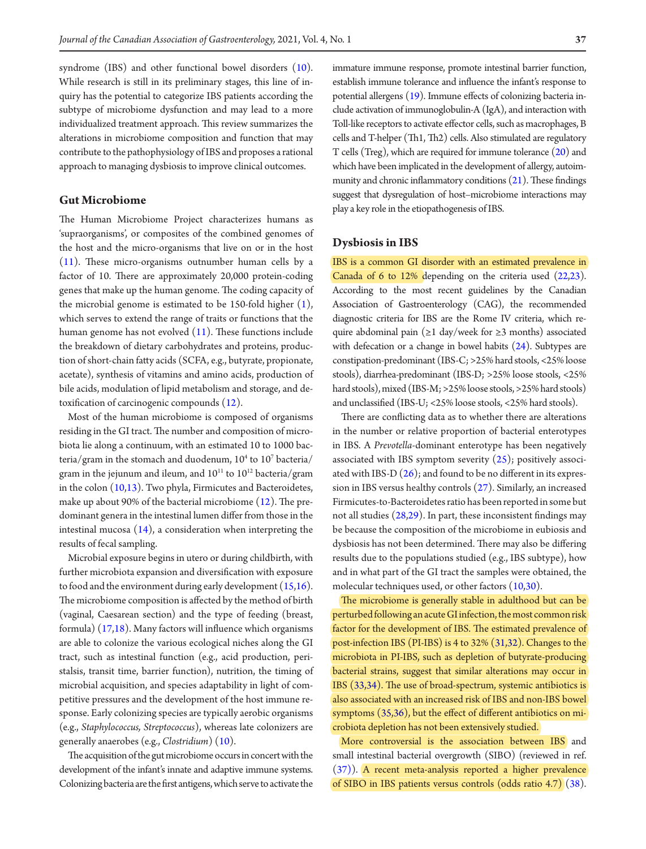syndrome (IBS) and other functional bowel disorders [\(10\)](#page-5-7). While research is still in its preliminary stages, this line of inquiry has the potential to categorize IBS patients according the subtype of microbiome dysfunction and may lead to a more individualized treatment approach. This review summarizes the alterations in microbiome composition and function that may contribute to the pathophysiology of IBS and proposes a rational approach to managing dysbiosis to improve clinical outcomes.

#### **Gut Microbiome**

The Human Microbiome Project characterizes humans as 'supraorganisms', or composites of the combined genomes of the host and the micro-organisms that live on or in the host ([11](#page-5-8)). These micro-organisms outnumber human cells by a factor of 10. There are approximately 20,000 protein-coding genes that make up the human genome. The coding capacity of the microbial genome is estimated to be 150-fold higher ([1\)](#page-5-0), which serves to extend the range of traits or functions that the human genome has not evolved ([11](#page-5-8)). These functions include the breakdown of dietary carbohydrates and proteins, production of short-chain fatty acids (SCFA, e.g., butyrate, propionate, acetate), synthesis of vitamins and amino acids, production of bile acids, modulation of lipid metabolism and storage, and detoxification of carcinogenic compounds [\(12\)](#page-5-9).

Most of the human microbiome is composed of organisms residing in the GI tract. The number and composition of microbiota lie along a continuum, with an estimated 10 to 1000 bacteria/gram in the stomach and duodenum,  $10^4$  to  $10^7\,\mathrm{bacteria}/$ gram in the jejunum and ileum, and  $10^{11}$  to  $10^{12}$  bacteria/gram in the colon  $(10,13)$  $(10,13)$  $(10,13)$ . Two phyla, Firmicutes and Bacteroidetes, make up about 90% of the bacterial microbiome ([12](#page-5-9)). The predominant genera in the intestinal lumen differ from those in the intestinal mucosa  $(14)$ , a consideration when interpreting the results of fecal sampling.

Microbial exposure begins in utero or during childbirth, with further microbiota expansion and diversification with exposure to food and the environment during early development  $(15,16)$  $(15,16)$ . The microbiome composition is affected by the method of birth (vaginal, Caesarean section) and the type of feeding (breast, formula) ([17](#page-5-14)[,18\)](#page-5-15). Many factors will influence which organisms are able to colonize the various ecological niches along the GI tract, such as intestinal function (e.g., acid production, peristalsis, transit time, barrier function), nutrition, the timing of microbial acquisition, and species adaptability in light of competitive pressures and the development of the host immune response. Early colonizing species are typically aerobic organisms (e.g., *Staphylococcus, Streptococcus*), whereas late colonizers are generally anaerobes (e.g., *Clostridium*) [\(10\)](#page-5-7).

The acquisition of the gut microbiome occurs in concert with the development of the infant's innate and adaptive immune systems. Colonizing bacteria are the first antigens, which serve to activate the

immature immune response, promote intestinal barrier function, establish immune tolerance and influence the infant's response to potential allergens ([19\)](#page-5-16). Immune effects of colonizing bacteria include activation of immunoglobulin-A (IgA), and interaction with Toll-like receptors to activate effector cells, such as macrophages, B cells and T-helper (Th1, Th2) cells. Also stimulated are regulatory T cells (Treg), which are required for immune tolerance [\(20](#page-5-17)) and which have been implicated in the development of allergy, autoimmunity and chronic inflammatory conditions [\(21\)](#page-5-18). These findings suggest that dysregulation of host–microbiome interactions may play a key role in the etiopathogenesis of IBS.

#### **Dysbiosis in IBS**

IBS is a common GI disorder with an estimated prevalence in Canada of 6 to 12% depending on the criteria used [\(22,](#page-5-19)[23\)](#page-5-20). According to the most recent guidelines by the Canadian Association of Gastroenterology (CAG), the recommended diagnostic criteria for IBS are the Rome IV criteria, which require abdominal pain ( $\geq 1$  day/week for  $\geq 3$  months) associated with defecation or a change in bowel habits  $(24)$ . Subtypes are constipation-predominant (IBS-C; >25% hard stools, <25% loose stools), diarrhea-predominant (IBS-D; >25% loose stools, <25% hard stools), mixed (IBS-M; >25% loose stools, >25% hard stools) and unclassified (IBS-U; <25% loose stools, <25% hard stools).

There are conflicting data as to whether there are alterations in the number or relative proportion of bacterial enterotypes in IBS. A *Prevotella*-dominant enterotype has been negatively associated with IBS symptom severity ([25](#page-5-22)); positively associated with IBS-D ([26\)](#page-5-23); and found to be no different in its expression in IBS versus healthy controls [\(27\)](#page-5-24). Similarly, an increased Firmicutes-to-Bacteroidetes ratio has been reported in some but not all studies ([28](#page-5-25)[,29\)](#page-5-26). In part, these inconsistent findings may be because the composition of the microbiome in eubiosis and dysbiosis has not been determined. There may also be differing results due to the populations studied (e.g., IBS subtype), how and in what part of the GI tract the samples were obtained, the molecular techniques used, or other factors [\(10,](#page-5-7)[30](#page-6-0)).

The microbiome is generally stable in adulthood but can be perturbed following an acute GI infection, the most common risk factor for the development of IBS. The estimated prevalence of post-infection IBS (PI-IBS) is 4 to 32% [\(31,](#page-6-1)[32](#page-6-2)). Changes to the microbiota in PI-IBS, such as depletion of butyrate-producing bacterial strains, suggest that similar alterations may occur in IBS [\(33,](#page-6-3)[34](#page-6-4)). The use of broad-spectrum, systemic antibiotics is also associated with an increased risk of IBS and non-IBS bowel symptoms [\(35,](#page-6-5)[36](#page-6-6)), but the effect of different antibiotics on microbiota depletion has not been extensively studied.

More controversial is the association between IBS and small intestinal bacterial overgrowth (SIBO) (reviewed in ref. ([37\)](#page-6-7)). A recent meta-analysis reported a higher prevalence of SIBO in IBS patients versus controls (odds ratio 4.7) [\(38\)](#page-6-8).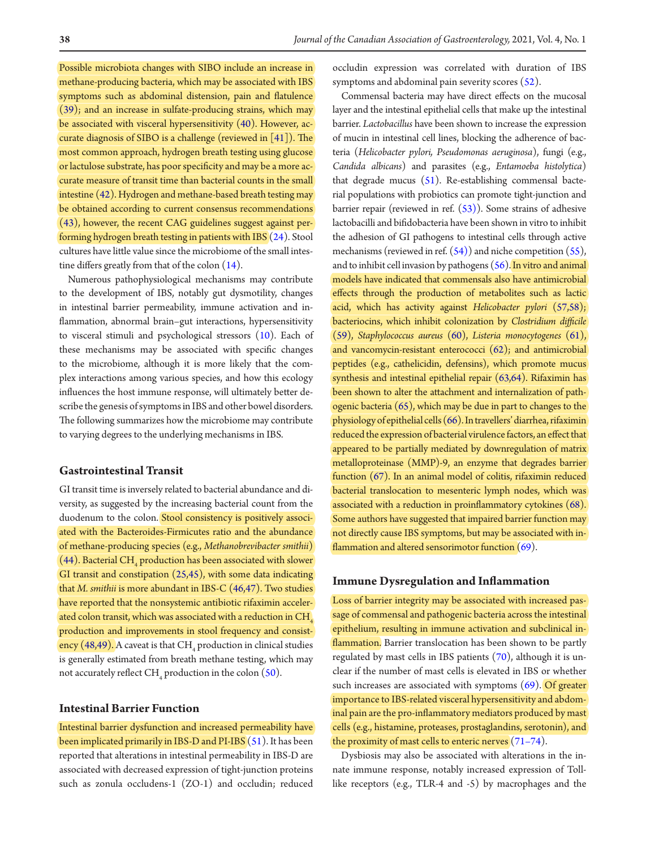Possible microbiota changes with SIBO include an increase in methane-producing bacteria, which may be associated with IBS symptoms such as abdominal distension, pain and flatulence ([39](#page-6-9)); and an increase in sulfate-producing strains, which may be associated with visceral hypersensitivity ([40](#page-6-10)). However, accurate diagnosis of SIBO is a challenge (reviewed in [[41](#page-6-11)]). The most common approach, hydrogen breath testing using glucose or lactulose substrate, has poor specificity and may be a more accurate measure of transit time than bacterial counts in the small intestine [\(42](#page-6-12)). Hydrogen and methane-based breath testing may be obtained according to current consensus recommendations ([43](#page-6-13)), however, the recent CAG guidelines suggest against performing hydrogen breath testing in patients with IBS [\(24](#page-5-21)). Stool cultures have little value since the microbiome of the small intestine differs greatly from that of the colon [\(14\)](#page-5-11).

Numerous pathophysiological mechanisms may contribute to the development of IBS, notably gut dysmotility, changes in intestinal barrier permeability, immune activation and inflammation, abnormal brain–gut interactions, hypersensitivity to visceral stimuli and psychological stressors  $(10)$ . Each of these mechanisms may be associated with specific changes to the microbiome, although it is more likely that the complex interactions among various species, and how this ecology influences the host immune response, will ultimately better describe the genesis of symptoms in IBS and other bowel disorders. The following summarizes how the microbiome may contribute to varying degrees to the underlying mechanisms in IBS.

#### **Gastrointestinal Transit**

GI transit time is inversely related to bacterial abundance and diversity, as suggested by the increasing bacterial count from the duodenum to the colon. Stool consistency is positively associated with the Bacteroides-Firmicutes ratio and the abundance of methane-producing species (e.g., *Methanobrevibacter smithii*) ([44](#page-6-14)). Bacterial  $\text{CH}_4^{}$  production has been associated with slower GI transit and constipation [\(25,](#page-5-22)[45](#page-6-15)), with some data indicating that *M. smithii* is more abundant in IBS-C [\(46](#page-6-16)[,47\)](#page-6-17). Two studies have reported that the nonsystemic antibiotic rifaximin accelerated colon transit, which was associated with a reduction in CH<sub>4</sub> production and improvements in stool frequency and consist- $\frac{\text{ency (48,49)}}{\text{A}}$  $\frac{\text{ency (48,49)}}{\text{A}}$  $\frac{\text{ency (48,49)}}{\text{A}}$  $\frac{\text{ency (48,49)}}{\text{A}}$  Caveat is that  $\text{CH}_4$  production in clinical studies is generally estimated from breath methane testing, which may not accurately reflect  $\mathrm{CH}_4^{}$  production in the colon ([50](#page-6-20)).

## **Intestinal Barrier Function**

Intestinal barrier dysfunction and increased permeability have been implicated primarily in IBS-D and PI-IBS  $(51)$  $(51)$  $(51)$ . It has been reported that alterations in intestinal permeability in IBS-D are associated with decreased expression of tight-junction proteins such as zonula occludens-1 (ZO-1) and occludin; reduced occludin expression was correlated with duration of IBS symptoms and abdominal pain severity scores [\(52\)](#page-6-22).

Commensal bacteria may have direct effects on the mucosal layer and the intestinal epithelial cells that make up the intestinal barrier. *Lactobacillus* have been shown to increase the expression of mucin in intestinal cell lines, blocking the adherence of bacteria (*Helicobacter pylori, Pseudomonas aeruginosa*), fungi (e.g., *Candida albicans*) and parasites (e.g., *Entamoeba histolytica*) that degrade mucus  $(51)$  $(51)$  $(51)$ . Re-establishing commensal bacterial populations with probiotics can promote tight-junction and barrier repair (reviewed in ref. [\(53\)](#page-6-23)). Some strains of adhesive lactobacilli and bifidobacteria have been shown in vitro to inhibit the adhesion of GI pathogens to intestinal cells through active mechanisms (reviewed in ref.  $(54)$ ) and niche competition  $(55)$ , and to inhibit cell invasion by pathogens  $(56)$  $(56)$ . In vitro and animal models have indicated that commensals also have antimicrobial effects through the production of metabolites such as lactic acid, which has activity against *Helicobacter pylori* [\(57,](#page-6-27)[58](#page-6-28)); bacteriocins, which inhibit colonization by *Clostridium difficile* ([59\)](#page-6-29), *Staphylococcus aureus* [\(60\)](#page-6-30), *Listeria monocytogenes* [\(61\)](#page-6-31), and vancomycin-resistant enterococci [\(62](#page-6-32)); and antimicrobial peptides (e.g., cathelicidin, defensins), which promote mucus synthesis and intestinal epithelial repair [\(63](#page-6-33)[,64\)](#page-6-34). Rifaximin has been shown to alter the attachment and internalization of pathogenic bacteria [\(65\)](#page-6-35), which may be due in part to changes to the physiology of epithelial cells [\(66\)](#page-6-36). In travellers' diarrhea, rifaximin reduced the expression of bacterial virulence factors, an effect that appeared to be partially mediated by downregulation of matrix metalloproteinase (MMP)-9, an enzyme that degrades barrier function ([67\)](#page-6-37). In an animal model of colitis, rifaximin reduced bacterial translocation to mesenteric lymph nodes, which was associated with a reduction in proinflammatory cytokines [\(68\)](#page-6-38). Some authors have suggested that impaired barrier function may not directly cause IBS symptoms, but may be associated with inflammation and altered sensorimotor function [\(69\)](#page-6-39).

#### **Immune Dysregulation and Inflammation**

Loss of barrier integrity may be associated with increased passage of commensal and pathogenic bacteria across the intestinal epithelium, resulting in immune activation and subclinical inflammation. Barrier translocation has been shown to be partly regulated by mast cells in IBS patients  $(70)$  $(70)$  $(70)$ , although it is unclear if the number of mast cells is elevated in IBS or whether such increases are associated with symptoms  $(69)$  $(69)$  $(69)$ . Of greater importance to IBS-related visceral hypersensitivity and abdominal pain are the pro-inflammatory mediators produced by mast cells (e.g., histamine, proteases, prostaglandins, serotonin), and the proximity of mast cells to enteric nerves ([71](#page-6-41)-74).

Dysbiosis may also be associated with alterations in the innate immune response, notably increased expression of Tolllike receptors (e.g., TLR-4 and -5) by macrophages and the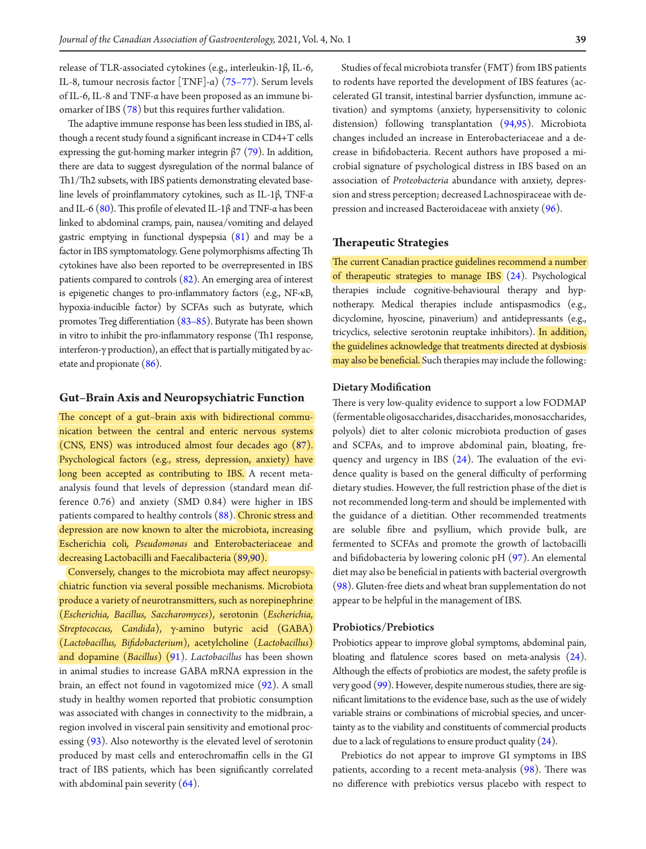release of TLR-associated cytokines (e.g., interleukin-1β, IL-6, IL-8, tumour necrosis factor [TNF]-α) [\(75–](#page-6-43)[77](#page-6-44)). Serum levels of IL-6, IL-8 and TNF-α have been proposed as an immune biomarker of IBS [\(78\)](#page-6-45) but this requires further validation.

The adaptive immune response has been less studied in IBS, although a recent study found a significant increase in CD4+T cells expressing the gut-homing marker integrin  $\beta$ 7 [\(79\)](#page-6-46). In addition, there are data to suggest dysregulation of the normal balance of Th1/Th2 subsets, with IBS patients demonstrating elevated baseline levels of proinflammatory cytokines, such as IL-1β, TNF-α and IL-6 [\(80](#page-6-47)). This profile of elevated IL-1 $\beta$  and TNF- $\alpha$  has been linked to abdominal cramps, pain, nausea/vomiting and delayed gastric emptying in functional dyspepsia [\(81](#page-6-48)) and may be a factor in IBS symptomatology. Gene polymorphisms affecting Th cytokines have also been reported to be overrepresented in IBS patients compared to controls [\(82](#page-6-49)). An emerging area of interest is epigenetic changes to pro-inflammatory factors (e.g., NF-κB, hypoxia-inducible factor) by SCFAs such as butyrate, which promotes Treg differentiation [\(83](#page-6-50)[–85](#page-6-51)). Butyrate has been shown in vitro to inhibit the pro-inflammatory response (Th1 response, interferon-γ production), an effect that is partially mitigated by acetate and propionate [\(86](#page-7-0)).

#### **Gut–Brain Axis and Neuropsychiatric Function**

The concept of a gut–brain axis with bidirectional communication between the central and enteric nervous systems (CNS, ENS) was introduced almost four decades ago [\(87\)](#page-7-1). Psychological factors (e.g., stress, depression, anxiety) have long been accepted as contributing to IBS. A recent metaanalysis found that levels of depression (standard mean difference 0.76) and anxiety (SMD 0.84) were higher in IBS patients compared to healthy controls [\(88](#page-7-2)). Chronic stress and depression are now known to alter the microbiota, increasing Escherichia coli*, Pseudomonas* and Enterobacteriaceae and decreasing Lactobacilli and Faecalibacteria ([89,](#page-7-3)[90](#page-7-4)).

Conversely, changes to the microbiota may affect neuropsychiatric function via several possible mechanisms. Microbiota produce a variety of neurotransmitters, such as norepinephrine (*Escherichia, Bacillus, Saccharomyces*), serotonin (*Escherichia, Streptococcus, Candida*), γ-amino butyric acid (GABA) (*Lactobacillus, Bifidobacterium*), acetylcholine (*Lactobacillus*) and dopamine (*Bacillus*) ([91](#page-7-5)). *Lactobacillus* has been shown in animal studies to increase GABA mRNA expression in the brain, an effect not found in vagotomized mice [\(92\)](#page-7-6). A small study in healthy women reported that probiotic consumption was associated with changes in connectivity to the midbrain, a region involved in visceral pain sensitivity and emotional processing ([93](#page-7-7)). Also noteworthy is the elevated level of serotonin produced by mast cells and enterochromaffin cells in the GI tract of IBS patients, which has been significantly correlated with abdominal pain severity [\(64\)](#page-6-34).

Studies of fecal microbiota transfer (FMT) from IBS patients to rodents have reported the development of IBS features (accelerated GI transit, intestinal barrier dysfunction, immune activation) and symptoms (anxiety, hypersensitivity to colonic distension) following transplantation ([94](#page-7-8)[,95\)](#page-7-9). Microbiota changes included an increase in Enterobacteriaceae and a decrease in bifidobacteria. Recent authors have proposed a microbial signature of psychological distress in IBS based on an association of *Proteobacteria* abundance with anxiety, depression and stress perception; decreased Lachnospiraceae with depression and increased Bacteroidaceae with anxiety ([96](#page-7-10)).

#### **Therapeutic Strategies**

The current Canadian practice guidelines recommend a number of therapeutic strategies to manage IBS ([24](#page-5-21)). Psychological therapies include cognitive-behavioural therapy and hypnotherapy. Medical therapies include antispasmodics (e.g., dicyclomine, hyoscine, pinaverium) and antidepressants (e.g., tricyclics, selective serotonin reuptake inhibitors). In addition, the guidelines acknowledge that treatments directed at dysbiosis may also be beneficial. Such therapies may include the following:

#### Dietary Modification

There is very low-quality evidence to support a low FODMAP (fermentable oligosaccharides, disaccharides, monosaccharides, polyols) diet to alter colonic microbiota production of gases and SCFAs, and to improve abdominal pain, bloating, frequency and urgency in IBS ([24\)](#page-5-21). The evaluation of the evidence quality is based on the general difficulty of performing dietary studies. However, the full restriction phase of the diet is not recommended long-term and should be implemented with the guidance of a dietitian. Other recommended treatments are soluble fibre and psyllium, which provide bulk, are fermented to SCFAs and promote the growth of lactobacilli and bifidobacteria by lowering colonic pH [\(97](#page-7-11)). An elemental diet may also be beneficial in patients with bacterial overgrowth ([98](#page-7-12)). Gluten-free diets and wheat bran supplementation do not appear to be helpful in the management of IBS.

#### Probiotics/Prebiotics

Probiotics appear to improve global symptoms, abdominal pain, bloating and flatulence scores based on meta-analysis ([24\)](#page-5-21). Although the effects of probiotics are modest, the safety profile is very good [\(99](#page-7-13)). However, despite numerous studies, there are significant limitations to the evidence base, such as the use of widely variable strains or combinations of microbial species, and uncertainty as to the viability and constituents of commercial products due to a lack of regulations to ensure product quality [\(24](#page-5-21)).

Prebiotics do not appear to improve GI symptoms in IBS patients, according to a recent meta-analysis [\(98\)](#page-7-12). There was no difference with prebiotics versus placebo with respect to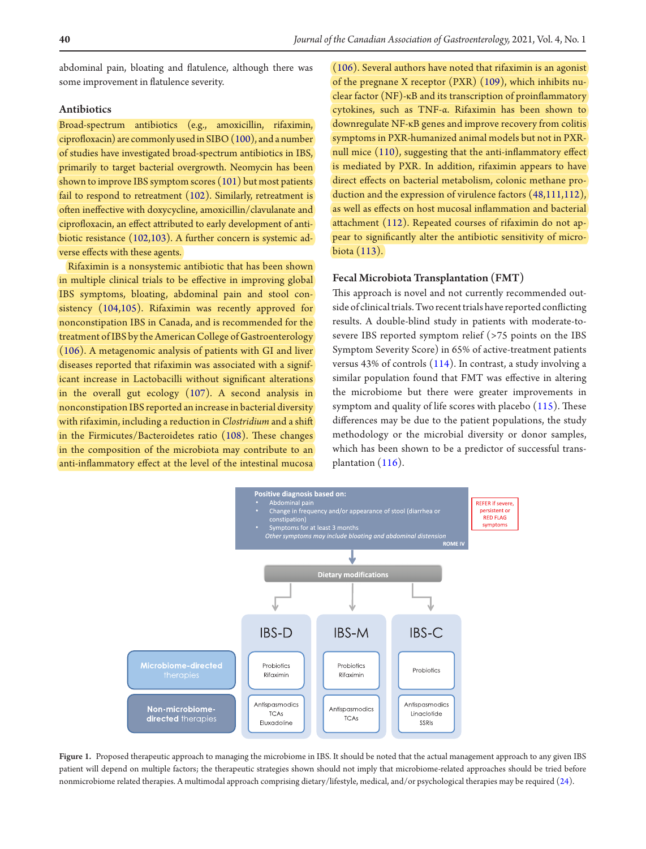abdominal pain, bloating and flatulence, although there was some improvement in flatulence severity.

#### Antibiotics

Broad-spectrum antibiotics (e.g., amoxicillin, rifaximin, ciprofloxacin) are commonly used in SIBO ([100\)](#page-7-14), and a number of studies have investigated broad-spectrum antibiotics in IBS, primarily to target bacterial overgrowth. Neomycin has been shown to improve IBS symptom scores [\(101\)](#page-7-15) but most patients fail to respond to retreatment ([102](#page-7-16)). Similarly, retreatment is often ineffective with doxycycline, amoxicillin/clavulanate and ciprofloxacin, an effect attributed to early development of antibiotic resistance ([102,](#page-7-16)[103](#page-7-17)). A further concern is systemic adverse effects with these agents.

Rifaximin is a nonsystemic antibiotic that has been shown in multiple clinical trials to be effective in improving global IBS symptoms, bloating, abdominal pain and stool consistency ([104](#page-7-18)[,105](#page-7-19)). Rifaximin was recently approved for nonconstipation IBS in Canada, and is recommended for the treatment of IBS by the American College of Gastroenterology ([106](#page-7-20)). A metagenomic analysis of patients with GI and liver diseases reported that rifaximin was associated with a significant increase in Lactobacilli without significant alterations in the overall gut ecology ([107](#page-7-21)). A second analysis in nonconstipation IBS reported an increase in bacterial diversity with rifaximin, including a reduction in *Clostridium* and a shift in the Firmicutes/Bacteroidetes ratio [\(108\)](#page-7-22). These changes in the composition of the microbiota may contribute to an anti-inflammatory effect at the level of the intestinal mucosa

([106](#page-7-20)). Several authors have noted that rifaximin is an agonist of the pregnane X receptor (PXR) [\(109](#page-7-23)), which inhibits nuclear factor (NF)-κB and its transcription of proinflammatory cytokines, such as TNF-α. Rifaximin has been shown to downregulate NF-κB genes and improve recovery from colitis symptoms in PXR-humanized animal models but not in PXRnull mice [\(110\)](#page-7-24), suggesting that the anti-inflammatory effect is mediated by PXR. In addition, rifaximin appears to have direct effects on bacterial metabolism, colonic methane production and the expression of virulence factors [\(48](#page-6-18)[,111,](#page-7-25)[112](#page-7-26)), as well as effects on host mucosal inflammation and bacterial attachment ([112](#page-7-26)). Repeated courses of rifaximin do not appear to significantly alter the antibiotic sensitivity of microbiota [\(113](#page-7-27)).

#### Fecal Microbiota Transplantation (FMT)

This approach is novel and not currently recommended outside of clinical trials. Two recent trials have reported conflicting results. A double-blind study in patients with moderate-tosevere IBS reported symptom relief (>75 points on the IBS Symptom Severity Score) in 65% of active-treatment patients versus 43% of controls ([114](#page-7-28)). In contrast, a study involving a similar population found that FMT was effective in altering the microbiome but there were greater improvements in symptom and quality of life scores with placebo [\(115](#page-7-29)). These differences may be due to the patient populations, the study methodology or the microbial diversity or donor samples, which has been shown to be a predictor of successful transplantation ([116\)](#page-7-30).



<span id="page-4-0"></span>Figure 1. Proposed therapeutic approach to managing the microbiome in IBS. It should be noted that the actual management approach to any given IBS patient will depend on multiple factors; the therapeutic strategies shown should not imply that microbiome-related approaches should be tried before nonmicrobiome related therapies. A multimodal approach comprising dietary/lifestyle, medical, and/or psychological therapies may be required [\(24](#page-5-21)).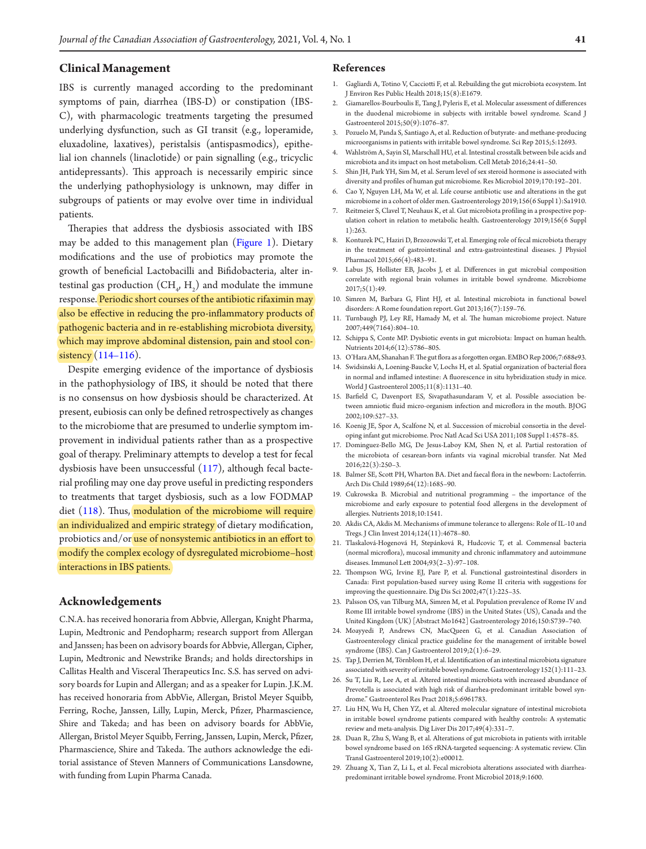#### **Clinical Management**

IBS is currently managed according to the predominant symptoms of pain, diarrhea (IBS-D) or constipation (IBS-C), with pharmacologic treatments targeting the presumed underlying dysfunction, such as GI transit (e.g., loperamide, eluxadoline, laxatives), peristalsis (antispasmodics), epithelial ion channels (linaclotide) or pain signalling (e.g., tricyclic antidepressants). This approach is necessarily empiric since the underlying pathophysiology is unknown, may differ in subgroups of patients or may evolve over time in individual patients.

Therapies that address the dysbiosis associated with IBS may be added to this management plan [\(Figure 1](#page-4-0)). Dietary modifications and the use of probiotics may promote the growth of beneficial Lactobacilli and Bifidobacteria, alter intestinal gas production  $(\text{CH}_{4}$ ,  $\text{H}_{2})$  and modulate the immune response. Periodic short courses of the antibiotic rifaximin may also be effective in reducing the pro-inflammatory products of pathogenic bacteria and in re-establishing microbiota diversity, which may improve abdominal distension, pain and stool con-sistency [\(114–](#page-7-28)[116\)](#page-7-30).

Despite emerging evidence of the importance of dysbiosis in the pathophysiology of IBS, it should be noted that there is no consensus on how dysbiosis should be characterized. At present, eubiosis can only be defined retrospectively as changes to the microbiome that are presumed to underlie symptom improvement in individual patients rather than as a prospective goal of therapy. Preliminary attempts to develop a test for fecal dysbiosis have been unsuccessful ([117\)](#page-7-31), although fecal bacterial profiling may one day prove useful in predicting responders to treatments that target dysbiosis, such as a low FODMAP diet [\(118\)](#page-7-32). Thus, modulation of the microbiome will require an individualized and empiric strategy of dietary modification, probiotics and/or use of nonsystemic antibiotics in an effort to modify the complex ecology of dysregulated microbiome–host interactions in IBS patients.

#### **Acknowledgements**

C.N.A. has received honoraria from Abbvie, Allergan, Knight Pharma, Lupin, Medtronic and Pendopharm; research support from Allergan and Janssen; has been on advisory boards for Abbvie, Allergan, Cipher, Lupin, Medtronic and Newstrike Brands; and holds directorships in Callitas Health and Visceral Therapeutics Inc. S.S. has served on advisory boards for Lupin and Allergan; and as a speaker for Lupin. J.K.M. has received honoraria from AbbVie, Allergan, Bristol Meyer Squibb, Ferring, Roche, Janssen, Lilly, Lupin, Merck, Pfizer, Pharmascience, Shire and Takeda; and has been on advisory boards for AbbVie, Allergan, Bristol Meyer Squibb, Ferring, Janssen, Lupin, Merck, Pfizer, Pharmascience, Shire and Takeda. The authors acknowledge the editorial assistance of Steven Manners of Communications Lansdowne, with funding from Lupin Pharma Canada.

#### **References**

- <span id="page-5-0"></span>1. Gagliardi A, Totino V, Cacciotti F, et al. Rebuilding the gut microbiota ecosystem. Int J Environ Res Public Health 2018;15(8):E1679.
- <span id="page-5-1"></span>2. Giamarellos-Bourboulis E, Tang J, Pyleris E, et al. Molecular assessment of differences in the duodenal microbiome in subjects with irritable bowel syndrome. Scand J Gastroenterol 2015;50(9):1076–87.
- 3. Pozuelo M, Panda S, Santiago A, et al. Reduction of butyrate- and methane-producing microorganisms in patients with irritable bowel syndrome. Sci Rep 2015;5:12693.
- <span id="page-5-2"></span>4. Wahlström A, Sayin SI, Marschall HU, et al. Intestinal crosstalk between bile acids and microbiota and its impact on host metabolism. Cell Metab 2016;24:41–50.
- <span id="page-5-3"></span>5. Shin JH, Park YH, Sim M, et al. Serum level of sex steroid hormone is associated with diversity and profiles of human gut microbiome. Res Microbiol 2019;170:192–201.
- 6. Cao Y, Nguyen LH, Ma W, et al. Life course antibiotic use and alterations in the gut microbiome in a cohort of older men. Gastroenterology 2019;156(6 Suppl 1):Sa1910.
- <span id="page-5-4"></span>7. Reitmeier S, Clavel T, Neuhaus K, et al. Gut microbiota profiling in a prospective population cohort in relation to metabolic health. Gastroenterology 2019;156(6 Suppl 1):263.
- <span id="page-5-5"></span>8. Konturek PC, Haziri D, Brzozowski T, et al. Emerging role of fecal microbiota therapy in the treatment of gastrointestinal and extra-gastrointestinal diseases. J Physiol Pharmacol 2015;66(4):483–91.
- <span id="page-5-6"></span>9. Labus JS, Hollister EB, Jacobs J, et al. Differences in gut microbial composition correlate with regional brain volumes in irritable bowel syndrome. Microbiome 2017;5(1):49.
- <span id="page-5-7"></span>10. Simren M, Barbara G, Flint HJ, et al. Intestinal microbiota in functional bowel disorders: A Rome foundation report. Gut 2013;16(7):159–76.
- <span id="page-5-8"></span>11. Turnbaugh PJ, Ley RE, Hamady M, et al. The human microbiome project. Nature 2007;449(7164):804–10.
- <span id="page-5-9"></span>12. Schippa S, Conte MP. Dysbiotic events in gut microbiota: Impact on human health. Nutrients 2014;6(12):5786–805.
- <span id="page-5-10"></span>13. O'Hara AM, Shanahan F. The gut flora as a forgotten organ. EMBO Rep 2006;7:688e93.
- <span id="page-5-11"></span>14. Swidsinski A, Loening-Baucke V, Lochs H, et al. Spatial organization of bacterial flora in normal and inflamed intestine: A fluorescence in situ hybridization study in mice. World J Gastroenterol 2005;11(8):1131–40.
- <span id="page-5-12"></span>15. Barfield C, Davenport ES, Sivapathasundaram V, et al. Possible association between amniotic fluid micro-organism infection and microflora in the mouth. BJOG 2002;109:527–33.
- <span id="page-5-13"></span>16. Koenig JE, Spor A, Scalfone N, et al. Succession of microbial consortia in the developing infant gut microbiome. Proc Natl Acad Sci USA 2011;108 Suppl 1:4578–85.
- <span id="page-5-14"></span>17. Dominguez-Bello MG, De Jesus-Laboy KM, Shen N, et al. Partial restoration of the microbiota of cesarean-born infants via vaginal microbial transfer. Nat Med 2016;22(3):250–3.
- <span id="page-5-15"></span>18. Balmer SE, Scott PH, Wharton BA. Diet and faecal flora in the newborn: Lactoferrin. Arch Dis Child 1989;64(12):1685–90.
- <span id="page-5-16"></span>19. Cukrowska B. Microbial and nutritional programming – the importance of the microbiome and early exposure to potential food allergens in the development of allergies. Nutrients 2018;10:1541.
- <span id="page-5-17"></span>20. Akdis CA, Akdis M. Mechanisms of immune tolerance to allergens: Role of IL-10 and Tregs. J Clin Invest 2014;124(11):4678–80.
- <span id="page-5-18"></span>21. Tlaskalová-Hogenová H, Stepánková R, Hudcovic T, et al. Commensal bacteria (normal microflora), mucosal immunity and chronic inflammatory and autoimmune diseases. Immunol Lett 2004;93(2–3):97–108.
- <span id="page-5-19"></span>22. Thompson WG, Irvine EJ, Pare P, et al. Functional gastrointestinal disorders in Canada: First population-based survey using Rome II criteria with suggestions for improving the questionnaire. Dig Dis Sci 2002;47(1):225–35.
- <span id="page-5-20"></span>23. Palsson OS, van Tilburg MA, Simren M, et al. Population prevalence of Rome IV and Rome III irritable bowel syndrome (IBS) in the United States (US), Canada and the United Kingdom (UK) [Abstract Mo1642] Gastroenterology 2016;150:S739–740.
- <span id="page-5-21"></span>24. Moayyedi P, Andrews CN, MacQueen G, et al. Canadian Association of Gastroenterology clinical practice guideline for the management of irritable bowel syndrome (IBS). Can J Gastroenterol 2019;2(1):6–29.
- <span id="page-5-22"></span>25. Tap J, Derrien M, Törnblom H, et al. Identification of an intestinal microbiota signature associated with severity of irritable bowel syndrome. Gastroenterology 152(1):111–23.
- <span id="page-5-23"></span>26. Su T, Liu R, Lee A, et al. Altered intestinal microbiota with increased abundance of Prevotella is associated with high risk of diarrhea-predominant irritable bowel syndrome." Gastroenterol Res Pract 2018;5:6961783.
- <span id="page-5-24"></span>27. Liu HN, Wu H, Chen YZ, et al. Altered molecular signature of intestinal microbiota in irritable bowel syndrome patients compared with healthy controls: A systematic review and meta-analysis. Dig Liver Dis 2017;49(4):331–7.
- <span id="page-5-25"></span>28. Duan R, Zhu S, Wang B, et al. Alterations of gut microbiota in patients with irritable bowel syndrome based on 16S rRNA-targeted sequencing: A systematic review. Clin Transl Gastroenterol 2019;10(2):e00012.
- <span id="page-5-26"></span>29. Zhuang X, Tian Z, Li L, et al. Fecal microbiota alterations associated with diarrheapredominant irritable bowel syndrome. Front Microbiol 2018;9:1600.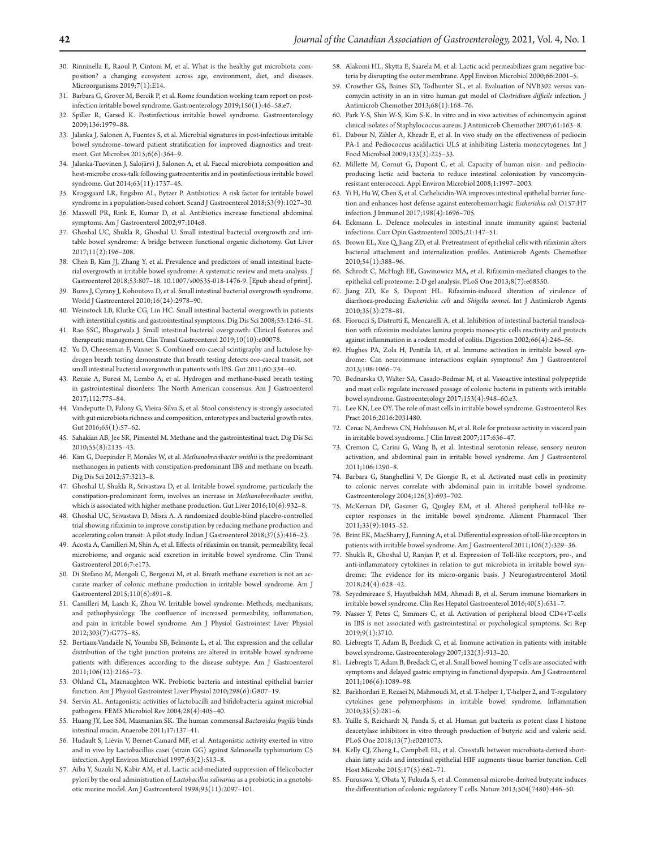- <span id="page-6-0"></span>30. Rinninella E, Raoul P, Cintoni M, et al. What is the healthy gut microbiota composition? a changing ecosystem across age, environment, diet, and diseases. Microorganisms 2019;7(1):E14.
- <span id="page-6-1"></span>31. Barbara G, Grover M, Bercik P, et al. Rome foundation working team report on postinfection irritable bowel syndrome. Gastroenterology 2019;156(1):46–58.e7.
- <span id="page-6-2"></span>32. Spiller R, Garsed K. Postinfectious irritable bowel syndrome. Gastroenterology 2009;136:1979–88.
- <span id="page-6-3"></span>33. Jalanka J, Salonen A, Fuentes S, et al. Microbial signatures in post-infectious irritable bowel syndrome–toward patient stratification for improved diagnostics and treatment. Gut Microbes 2015;6(6):364–9.
- <span id="page-6-4"></span>34. Jalanka-Tuovinen J, Salojärvi J, Salonen A, et al. Faecal microbiota composition and host-microbe cross-talk following gastroenteritis and in postinfectious irritable bowel syndrome. Gut 2014;63(11):1737–45.
- <span id="page-6-5"></span>35. Krogsgaard LR, Engsbro AL, Bytzer P. Antibiotics: A risk factor for irritable bowel syndrome in a population-based cohort. Scand J Gastroenterol 2018;53(9):1027–30.
- <span id="page-6-6"></span>36. Maxwell PR, Rink E, Kumar D, et al. Antibiotics increase functional abdominal symptoms. Am J Gastroenterol 2002;97:104e8.
- <span id="page-6-7"></span>37. Ghoshal UC, Shukla R, Ghoshal U. Small intestinal bacterial overgrowth and irritable bowel syndrome: A bridge between functional organic dichotomy. Gut Liver 2017;11(2):196–208.
- <span id="page-6-8"></span>38. Chen B, Kim JJ, Zhang Y, et al. Prevalence and predictors of small intestinal bacterial overgrowth in irritable bowel syndrome: A systematic review and meta-analysis. J Gastroenterol 2018;53:807–18. 10.1007/s00535-018-1476-9. [Epub ahead of print].
- <span id="page-6-9"></span>39. Bures J, Cyrany J, Kohoutova D, et al. Small intestinal bacterial overgrowth syndrome. World J Gastroenterol 2010;16(24):2978–90.
- <span id="page-6-10"></span>40. Weinstock LB, Klutke CG, Lin HC. Small intestinal bacterial overgrowth in patients with interstitial cystitis and gastrointestinal symptoms. Dig Dis Sci 2008;53:1246–51.
- <span id="page-6-11"></span>41. Rao SSC, Bhagatwala J. Small intestinal bacterial overgrowth: Clinical features and therapeutic management. Clin Transl Gastroenterol 2019;10(10):e00078.
- <span id="page-6-12"></span>42. Yu D, Cheeseman F, Vanner S. Combined oro-caecal scintigraphy and lactulose hydrogen breath testing demonstrate that breath testing detects oro-caecal transit, not small intestinal bacterial overgrowth in patients with IBS. Gut 2011;60:334–40.
- <span id="page-6-13"></span>43. Rezaie A, Buresi M, Lembo A, et al. Hydrogen and methane-based breath testing in gastrointestinal disorders: The North American consensus. Am J Gastroenterol 2017;112:775–84.
- <span id="page-6-14"></span>44. Vandeputte D, Falony G, Vieira-Silva S, et al. Stool consistency is strongly associated with gut microbiota richness and composition, enterotypes and bacterial growth rates. Gut 2016;65(1):57-62.
- <span id="page-6-15"></span>45. Sahakian AB, Jee SR, Pimentel M. Methane and the gastrointestinal tract. Dig Dis Sci 2010;55(8):2135–43.
- <span id="page-6-16"></span>46. Kim G, Deepinder F, Morales W, et al. *Methanobrevibacter smithii* is the predominant methanogen in patients with constipation-predominant IBS and methane on breath. Dig Dis Sci 2012;57:3213–8.
- <span id="page-6-17"></span>47. Ghoshal U, Shukla R, Srivastava D, et al. Irritable bowel syndrome, particularly the constipation-predominant form, involves an increase in *Methanobrevibacter smithii*, which is associated with higher methane production. Gut Liver 2016;10(6):932–8.
- <span id="page-6-18"></span>48. Ghoshal UC, Srivastava D, Misra A. A randomized double-blind placebo-controlled trial showing rifaximin to improve constipation by reducing methane production and accelerating colon transit: A pilot study. Indian J Gastroenterol 2018;37(5):416–23.
- <span id="page-6-19"></span>49. Acosta A, Camilleri M, Shin A, et al. Effects of rifaximin on transit, permeability, fecal microbiome, and organic acid excretion in irritable bowel syndrome. Clin Transl Gastroenterol 2016;7:e173.
- <span id="page-6-20"></span>50. Di Stefano M, Mengoli C, Bergonzi M, et al. Breath methane excretion is not an accurate marker of colonic methane production in irritable bowel syndrome. Am J Gastroenterol 2015;110(6):891–8.
- <span id="page-6-21"></span>51. Camilleri M, Lasch K, Zhou W. Irritable bowel syndrome: Methods, mechanisms, and pathophysiology. The confluence of increased permeability, inflammation, and pain in irritable bowel syndrome. Am J Physiol Gastrointest Liver Physiol 2012;303(7):G775–85.
- <span id="page-6-22"></span>52. Bertiaux-Vandaële N, Youmba SB, Belmonte L, et al. The expression and the cellular distribution of the tight junction proteins are altered in irritable bowel syndrome patients with differences according to the disease subtype. Am J Gastroenterol 2011;106(12):2165–73.
- <span id="page-6-23"></span>53. Ohland CL, Macnaughton WK. Probiotic bacteria and intestinal epithelial barrier function. Am J Physiol Gastrointest Liver Physiol 2010;298(6):G807–19.
- <span id="page-6-24"></span>54. Servin AL. Antagonistic activities of lactobacilli and bifidobacteria against microbial pathogens. FEMS Microbiol Rev 2004;28(4):405–40.
- <span id="page-6-25"></span>55. Huang JY, Lee SM, Mazmanian SK. The human commensal *Bacteroides fragilis* binds intestinal mucin. Anaerobe 2011;17:137–41.
- <span id="page-6-26"></span>56. Hudault S, Liévin V, Bernet-Camard MF, et al. Antagonistic activity exerted in vitro and in vivo by Lactobacillus casei (strain GG) against Salmonella typhimurium C5 infection. Appl Environ Microbiol 1997;63(2):513–8.
- <span id="page-6-27"></span>57. Aiba Y, Suzuki N, Kabir AM, et al. Lactic acid-mediated suppression of Helicobacter pylori by the oral administration of *Lactobacillus salivarius* as a probiotic in a gnotobiotic murine model. Am J Gastroenterol 1998;93(11):2097–101.
- <span id="page-6-28"></span>58. Alakomi HL, Skytta E, Saarela M, et al. Lactic acid permeabilizes gram negative bacteria by disrupting the outer membrane. Appl Environ Microbiol 2000;66:2001–5.
- <span id="page-6-29"></span>59. Crowther GS, Baines SD, Todhunter SL, et al. Evaluation of NVB302 versus vancomycin activity in an in vitro human gut model of *Clostridium difficile* infection. J Antimicrob Chemother 2013;68(1):168–76.
- <span id="page-6-30"></span>60. Park Y-S, Shin W-S, Kim S-K. In vitro and in vivo activities of echinomycin against clinical isolates of Staphylococcus aureus. J Antimicrob Chemother 2007;61:163–8.
- <span id="page-6-31"></span>61. Dabour N, Zihler A, Kheadr E, et al. In vivo study on the effectiveness of pediocin PA-1 and Pediococcus acidilactici UL5 at inhibiting Listeria monocytogenes. Int J Food Microbiol 2009;133(3):225–33.
- <span id="page-6-32"></span>62. Millette M, Cornut G, Dupont C, et al. Capacity of human nisin- and pediocinproducing lactic acid bacteria to reduce intestinal colonization by vancomycinresistant enterococci. Appl Environ Microbiol 2008;1:1997–2003.
- <span id="page-6-33"></span>63. Yi H, Hu W, Chen S, et al. Cathelicidin-WA improves intestinal epithelial barrier function and enhances host defense against enterohemorrhagic *Escherichia coli* O157:H7 infection. J Immunol 2017;198(4):1696–705.
- <span id="page-6-34"></span>64. Eckmann L. Defence molecules in intestinal innate immunity against bacterial infections. Curr Opin Gastroenterol 2005;21:147–51.
- <span id="page-6-35"></span>65. Brown EL, Xue Q, Jiang ZD, et al. Pretreatment of epithelial cells with rifaximin alters bacterial attachment and internalization profiles. Antimicrob Agents Chemother 2010;54(1):388–96.
- <span id="page-6-36"></span>66. Schrodt C, McHugh EE, Gawinowicz MA, et al. Rifaximin-mediated changes to the epithelial cell proteome: 2-D gel analysis. PLoS One 2013;8(7):e68550.
- <span id="page-6-37"></span>67. Jiang ZD, Ke S, Dupont HL. Rifaximin-induced alteration of virulence of diarrhoea-producing *Escherichia coli* and *Shigella sonnei*. Int J Antimicrob Agents 2010;35(3):278–81.
- <span id="page-6-38"></span>68. Fiorucci S, Distrutti E, Mencarelli A, et al. Inhibition of intestinal bacterial translocation with rifaximin modulates lamina propria monocytic cells reactivity and protects against inflammation in a rodent model of colitis. Digestion 2002;66(4):246–56.
- <span id="page-6-39"></span>69. Hughes PA, Zola H, Penttila IA, et al. Immune activation in irritable bowel syndrome: Can neuroimmune interactions explain symptoms? Am J Gastroenterol 2013;108:1066–74.
- <span id="page-6-40"></span>70. Bednarska O, Walter SA, Casado-Bedmar M, et al. Vasoactive intestinal polypeptide and mast cells regulate increased passage of colonic bacteria in patients with irritable bowel syndrome. Gastroenterology 2017;153(4):948–60.e3.
- <span id="page-6-41"></span>71. Lee KN, Lee OY. The role of mast cells in irritable bowel syndrome. Gastroenterol Res Pract 2016;2016:2031480.
- 72. Cenac N, Andrews CN, Holzhausen M, et al. Role for protease activity in visceral pain in irritable bowel syndrome. J Clin Invest 2007;117:636–47.
- 73. Cremon C, Carini G, Wang B, et al. Intestinal serotonin release, sensory neuron activation, and abdominal pain in irritable bowel syndrome. Am J Gastroenterol 2011;106:1290–8.
- <span id="page-6-42"></span>74. Barbara G, Stanghellini V, De Giorgio R, et al. Activated mast cells in proximity to colonic nerves correlate with abdominal pain in irritable bowel syndrome. Gastroenterology 2004;126(3):693–702.
- <span id="page-6-43"></span>75. McKernan DP, Gaszner G, Quigley EM, et al. Altered peripheral toll-like receptor responses in the irritable bowel syndrome. Aliment Pharmacol Ther 2011;33(9):1045–52.
- 76. Brint EK, MacSharry J, Fanning A, et al. Differential expression of toll-like receptors in patients with irritable bowel syndrome. Am J Gastroenterol 2011;106(2):329–36.
- <span id="page-6-44"></span>77. Shukla R, Ghoshal U, Ranjan P, et al. Expression of Toll-like receptors, pro-, and anti-inflammatory cytokines in relation to gut microbiota in irritable bowel syndrome: The evidence for its micro-organic basis. J Neurogastroenterol Motil 2018;24(4):628–42.
- <span id="page-6-45"></span>78. Seyedmirzaee S, Hayatbakhsh MM, Ahmadi B, et al. Serum immune biomarkers in irritable bowel syndrome. Clin Res Hepatol Gastroenterol 2016;40(5):631–7.
- <span id="page-6-46"></span>79. Nasser Y, Petes C, Simmers C, et al. Activation of peripheral blood CD4+T-cells in IBS is not associated with gastrointestinal or psychological symptoms. Sci Rep 2019;9(1):3710.
- <span id="page-6-47"></span>80. Liebregts T, Adam B, Bredack C, et al. Immune activation in patients with irritable bowel syndrome. Gastroenterology 2007;132(3):913–20.
- <span id="page-6-48"></span>81. Liebregts T, Adam B, Bredack C, et al. Small bowel homing T cells are associated with symptoms and delayed gastric emptying in functional dyspepsia. Am J Gastroenterol 2011;106(6):1089–98.
- <span id="page-6-49"></span>82. Barkhordari E, Rezaei N, Mahmoudi M, et al. T-helper 1, T-helper 2, and T-regulatory cytokines gene polymorphisms in irritable bowel syndrome. Inflammation 2010;33(5):281–6.
- <span id="page-6-50"></span>83. Yuille S, Reichardt N, Panda S, et al. Human gut bacteria as potent class I histone deacetylase inhibitors in vitro through production of butyric acid and valeric acid. PLoS One 2018;13(7):e0201073.
- 84. Kelly CJ, Zheng L, Campbell EL, et al. Crosstalk between microbiota-derived shortchain fatty acids and intestinal epithelial HIF augments tissue barrier function. Cell Host Microbe 2015;17(5):662–71.
- <span id="page-6-51"></span>85. Furusawa Y, Obata Y, Fukuda S, et al. Commensal microbe-derived butyrate induces the differentiation of colonic regulatory T cells. Nature 2013;504(7480):446–50.